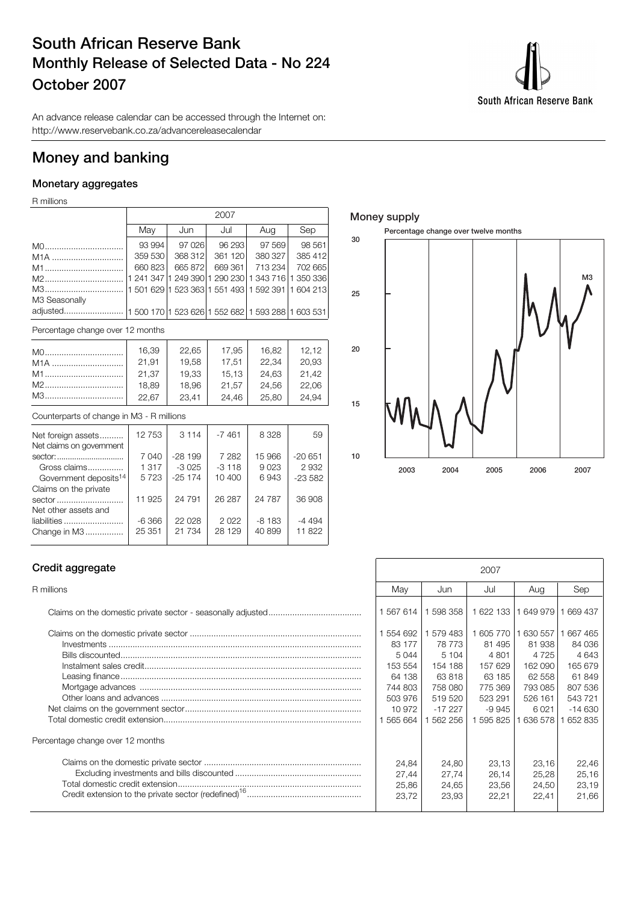# **South African Reserve Bank Monthly Release of Selected Data - No 224 October 2007**



An advance release calendar can be accessed through the Internet on: http://www.reservebank.co.za/advancereleasecalendar

# **Money and banking**

### **Monetary aggregates**

R millions

|                                                                     |         | 2007    |         |                                                         |         |  |  |  |  |  |  |
|---------------------------------------------------------------------|---------|---------|---------|---------------------------------------------------------|---------|--|--|--|--|--|--|
|                                                                     | May     | Jun     | Jul     | Aug                                                     | Sep     |  |  |  |  |  |  |
|                                                                     | 93 994  | 97 0 26 | 96 293  | 97 569                                                  | 98 561  |  |  |  |  |  |  |
| M <sub>1</sub> A                                                    | 359 530 | 368 312 | 361 120 | 380 327                                                 | 385 412 |  |  |  |  |  |  |
| M1                                                                  | 660 823 | 665 872 | 669361  | 713 234                                                 | 702 665 |  |  |  |  |  |  |
| M2                                                                  |         |         |         | 1 241 347  1 249 390 1 290 230  1 343 716   1 350 336   |         |  |  |  |  |  |  |
| M3                                                                  |         |         |         | 11 501 629 11 523 363 1 551 493   1 592 391   1 604 213 |         |  |  |  |  |  |  |
| M3 Seasonally                                                       |         |         |         |                                                         |         |  |  |  |  |  |  |
| adjusted  1 500 170   1 523 626   1 552 682   1 593 288   1 603 531 |         |         |         |                                                         |         |  |  |  |  |  |  |
|                                                                     |         |         |         |                                                         |         |  |  |  |  |  |  |

Percentage change over 12 months

| M0               | 16,39 | 22.65 | 17.95 | 16,82 | 12.12 |
|------------------|-------|-------|-------|-------|-------|
| M <sub>1</sub> A | 21.91 | 19.58 | 17.51 | 22.34 | 20,93 |
| M1               | 21.37 | 19.33 | 15.13 | 24.63 | 21.42 |
| M2               | 18,89 | 18,96 | 21.57 | 24,56 | 22,06 |
| M3               | 22,67 | 23,41 | 24.46 | 25,80 | 24.94 |

### Counterparts of change in M3 - R millions

| Net foreign assets                | 12753   | 3 1 1 4  | $-7461$ | 8 3 2 8  | 59        |
|-----------------------------------|---------|----------|---------|----------|-----------|
| Net claims on government          |         |          |         |          |           |
| sector:                           | 7 0 4 0 | $-28199$ | 7 2 8 2 | 15 966   | $-20651$  |
| Gross claims                      | 1 3 1 7 | $-3.025$ | $-3118$ | 9023     | 2932      |
| Government deposits <sup>14</sup> | 5723    | $-25174$ | 10 400  | 6943     | $-23.582$ |
| Claims on the private             |         |          |         |          |           |
| sector                            | 11 925  | 24 791   | 26 287  | 24 7 8 7 | 36 908    |
| Net other assets and              |         |          |         |          |           |
| liabilities                       | $-6366$ | 22 028   | 2022    | $-8183$  | $-4494$   |
| Change in M3                      | 25 351  | 21 7 34  | 28 129  | 40 899   | 11822     |
|                                   |         |          |         |          |           |

### **Money supply**



### **Credit aggregate**

| Percentage change over 12 months |  |
|----------------------------------|--|
|                                  |  |
|                                  |  |
|                                  |  |
|                                  |  |

| Credit aggregate                 | 2007                                                                                          |                                                                                               |                                                                                              |                                                                                            |                                                                                            |
|----------------------------------|-----------------------------------------------------------------------------------------------|-----------------------------------------------------------------------------------------------|----------------------------------------------------------------------------------------------|--------------------------------------------------------------------------------------------|--------------------------------------------------------------------------------------------|
| R millions                       | Mav                                                                                           | Jun                                                                                           | Jul                                                                                          | Aug                                                                                        | Sep                                                                                        |
|                                  | 1 567 614                                                                                     | 1 598 358                                                                                     | 1 622 133                                                                                    | 649 979                                                                                    | 669 437                                                                                    |
|                                  | 1 554 692<br>83 177<br>5044<br>153 554<br>64 138<br>744 803<br>503 976<br>10 972<br>1 565 664 | 579 483<br>78 773<br>5 1 0 4<br>154 188<br>63818<br>758 080<br>519 520<br>$-17227$<br>562 256 | 605 770<br>81 495<br>4 8 0 1<br>157 629<br>63 185<br>775 369<br>523 291<br>-9 945<br>595 825 | 630 557<br>81 938<br>4 7 2 5<br>162 090<br>62 558<br>793 085<br>526 161<br>6021<br>636 578 | 667 465<br>84 036<br>4643<br>165 679<br>61849<br>807 536<br>543 721<br>$-14630$<br>652 835 |
| Percentage change over 12 months |                                                                                               |                                                                                               |                                                                                              |                                                                                            |                                                                                            |
|                                  | 24,84<br>27.44<br>25,86<br>23.72                                                              | 24.80<br>27.74<br>24,65<br>23,93                                                              | 23.13<br>26.14<br>23,56<br>22,21                                                             | 23,16<br>25,28<br>24,50<br>22,41                                                           | 22.46<br>25,16<br>23,19<br>21.66                                                           |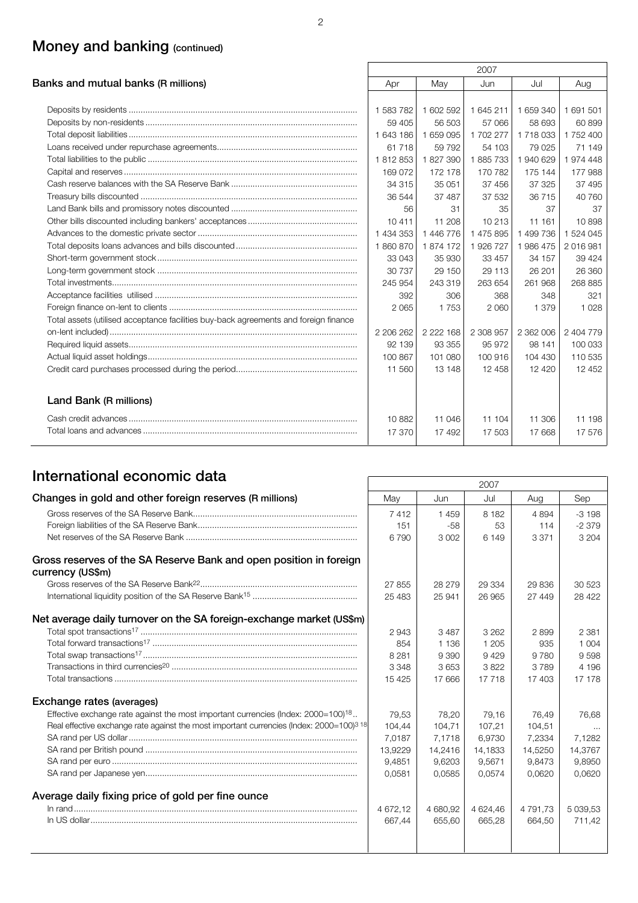# **Money and banking (continued)**

|                                                                                      |           |             | 2007      |           |           |
|--------------------------------------------------------------------------------------|-----------|-------------|-----------|-----------|-----------|
| Banks and mutual banks (R millions)                                                  | Apr       | May         | Jun       | Jul       | Aug       |
|                                                                                      |           |             |           |           |           |
|                                                                                      | 1 583 782 | 1 602 592   | 1 645 211 | 1 659 340 | 1 691 501 |
|                                                                                      | 59 405    | 56 503      | 57 066    | 58 693    | 60 899    |
|                                                                                      | 1 643 186 | 1 659 095   | 1 702 277 | 1 718 033 | 1752400   |
|                                                                                      | 61 718    | 59 7 9 2    | 54 103    | 79 0 25   | 71 149    |
|                                                                                      | 1812853   | 1827390     | 1885733   | 1 940 629 | 1974 448  |
|                                                                                      | 169 072   | 172 178     | 170 782   | 175 144   | 177 988   |
|                                                                                      | 34 315    | 35 051      | 37 456    | 37 325    | 37 495    |
|                                                                                      | 36 544    | 37 487      | 37 532    | 36 715    | 40 760    |
|                                                                                      | 56        | 31          | 35        | 37        | 37        |
|                                                                                      | 10411     | 11 208      | 10 213    | 11 161    | 10898     |
|                                                                                      | 1 434 353 | 1 446 776   | 1 475 895 | 1 499 736 | 1 524 045 |
|                                                                                      | 1860870   | 1874 172    | 1926727   | 1986 475  | 2016981   |
|                                                                                      | 33 043    | 35 930      | 33 457    | 34 157    | 39 4 24   |
|                                                                                      | 30 737    | 29 150      | 29 113    | 26 201    | 26 360    |
|                                                                                      | 245 954   | 243 319     | 263 654   | 261 968   | 268 885   |
|                                                                                      | 392       | 306         | 368       | 348       | 321       |
|                                                                                      | 2 0 6 5   | 1753        | 2 0 6 0   | 1 379     | 1 0 2 8   |
| Total assets (utilised acceptance facilities buy-back agreements and foreign finance |           |             |           |           |           |
|                                                                                      | 2 206 262 | 2 2 2 1 6 8 | 2 308 957 | 2 362 006 | 2 404 779 |
|                                                                                      | 92 139    | 93 355      | 95 972    | 98 141    | 100 033   |
|                                                                                      | 100 867   | 101 080     | 100 916   | 104 430   | 110 535   |
|                                                                                      | 11 560    | 13 148      | 12 458    | 12 4 20   | 12 452    |
| Land Bank (R millions)                                                               |           |             |           |           |           |
|                                                                                      | 10882     | 11 046      | 11 104    | 11 306    | 11 198    |
|                                                                                      | 17 370    | 17 492      | 17 503    | 17668     | 17 576    |

# **International economic data** 2007

|                                                                                                      |          |          | ZUUT.    |          |             |
|------------------------------------------------------------------------------------------------------|----------|----------|----------|----------|-------------|
| Changes in gold and other foreign reserves (R millions)                                              | May      | Jun      | Jul      | Aug      | Sep         |
|                                                                                                      | 7412     | 1459     | 8 1 8 2  | 4 8 9 4  | $-3198$     |
|                                                                                                      | 151      | $-58$    | 53       | 114      | $-2379$     |
|                                                                                                      | 6790     | 3 0 0 2  | 6 1 4 9  | 3 3 7 1  | 3 2 0 4     |
| Gross reserves of the SA Reserve Bank and open position in foreign<br>currency (US\$m)               |          |          |          |          |             |
|                                                                                                      | 27855    | 28 279   | 29 334   | 29 836   | 30 523      |
|                                                                                                      | 25 483   | 25 941   | 26 965   | 27 449   | 28 4 22     |
| Net average daily turnover on the SA foreign-exchange market (US\$m)                                 |          |          |          |          |             |
|                                                                                                      | 2943     | 3487     | 3 2 6 2  | 2899     | 2 3 8 1     |
|                                                                                                      | 854      | 1 1 3 6  | 1 2 0 5  | 935      | 1 0 0 4     |
|                                                                                                      | 8 2 8 1  | 9 390    | 9429     | 9 7 8 0  | 9598        |
|                                                                                                      | 3 3 4 8  | 3653     | 3822     | 3789     | 4 196       |
|                                                                                                      | 15 4 25  | 17 666   | 17718    | 17 403   | 17 178      |
| Exchange rates (averages)                                                                            |          |          |          |          |             |
| Effective exchange rate against the most important currencies (lndex: $2000=100$ ) <sup>18</sup>     | 79,53    | 78,20    | 79,16    | 76,49    | 76,68       |
| Real effective exchange rate against the most important currencies (Index: 2000=100) <sup>3 18</sup> | 104,44   | 104.71   | 107.21   | 104.51   | $\cdots$    |
|                                                                                                      | 7.0187   | 7.1718   | 6.9730   | 7.2334   | 7.1282      |
|                                                                                                      | 13,9229  | 14,2416  | 14,1833  | 14,5250  | 14,3767     |
|                                                                                                      | 9,4851   | 9,6203   | 9,5671   | 9,8473   | 9,8950      |
|                                                                                                      | 0,0581   | 0,0585   | 0.0574   | 0.0620   | 0,0620      |
| Average daily fixing price of gold per fine ounce                                                    |          |          |          |          |             |
|                                                                                                      | 4 672.12 | 4 680,92 | 4 624.46 | 4 791.73 | 5 0 3 9.5 3 |
|                                                                                                      | 667.44   | 655.60   | 665.28   | 664,50   | 711,42      |
|                                                                                                      |          |          |          |          |             |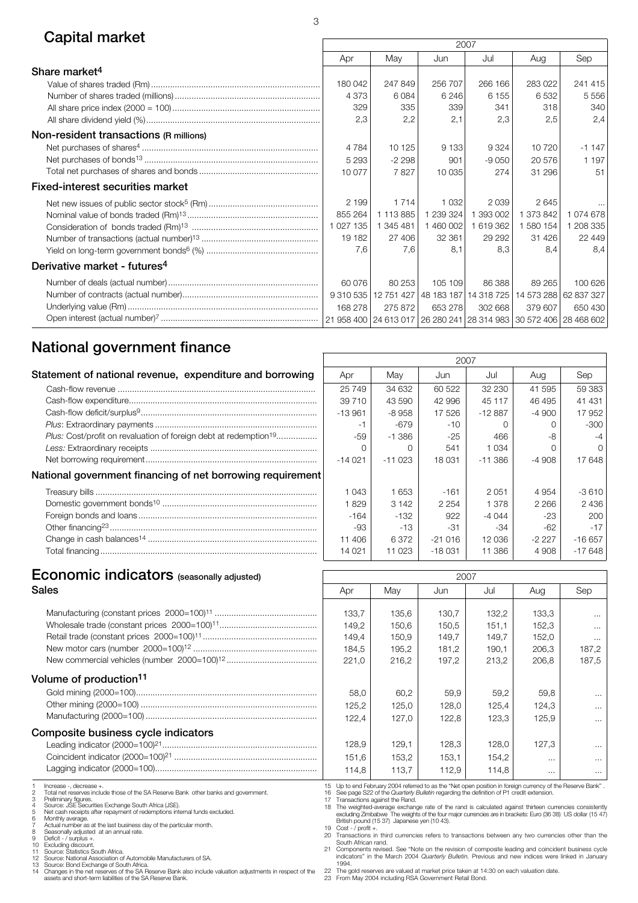# **Capital market** 2007

|                                          | ZUU 1     |           |                                  |           |                                                                             |                       |
|------------------------------------------|-----------|-----------|----------------------------------|-----------|-----------------------------------------------------------------------------|-----------------------|
|                                          | Apr       | May       | Jun                              | Jul       | Aug                                                                         | Sep                   |
| Share market <sup>4</sup>                |           |           |                                  |           |                                                                             |                       |
|                                          | 180 042   | 247 849   | 256 707                          | 266 166   | 283 022                                                                     | 241 415               |
|                                          | 4 3 7 3   | 6084      | 6 2 4 6                          | 6 1 5 5   | 6532                                                                        | 5 5 5 6               |
|                                          | 329       | 335       | 339                              | 341       | 318                                                                         | 340                   |
|                                          | 2,3       | 2,2       | 2,1                              | 2,3       | 2,5                                                                         | 2,4                   |
| Non-resident transactions (R millions)   |           |           |                                  |           |                                                                             |                       |
|                                          | 4 7 8 4   | 10 125    | 9 1 3 3                          | 9 3 2 4   | 10720                                                                       | $-1147$               |
|                                          | 5 2 9 3   | $-2298$   | 901                              | $-9050$   | 20 576                                                                      | 1 197                 |
|                                          | 10 077    | 7827      | 10 035                           | 274       | 31 296                                                                      | 51                    |
| <b>Fixed-interest securities market</b>  |           |           |                                  |           |                                                                             |                       |
|                                          | 2 1 9 9   | 1 7 1 4   | 1 0 3 2                          | 2039      | 2645                                                                        | $\cdots$              |
|                                          | 855 264   | 1 113 885 | 1 239 324                        | 1 393 002 | 1 373 842                                                                   | 1074678               |
|                                          | 1 027 135 | 1 345 481 | 1 460 002                        | 1619362   | 1 580 154                                                                   | 1 208 335             |
|                                          | 19 182    | 27 406    | 32 361                           | 29 29 2   | 31 4 26                                                                     | 22 449                |
|                                          | 7,6       | 7.6       | 8.1                              | 8,3       | 8.4                                                                         | 8,4                   |
| Derivative market - futures <sup>4</sup> |           |           |                                  |           |                                                                             |                       |
|                                          | 60 076    | 80 253    | 105 109                          | 86 388    | 89 265                                                                      | 100 626               |
|                                          | 9 310 535 |           | 12 751 427 48 183 187 14 318 725 |           |                                                                             | 14 573 288 62 837 327 |
|                                          | 168 278   | 275 872   | 653 278                          | 302 668   | 379 607                                                                     | 650 430               |
|                                          |           |           |                                  |           | 21 958 400   24 613 017   26 280 241   28 314 983   30 572 406   28 468 602 |                       |

# **National government finance**

| Statement of national revenue, expenditure and borrowing                            | Apr       | May      | Jun      | Jul       | Aug     | Sep             |
|-------------------------------------------------------------------------------------|-----------|----------|----------|-----------|---------|-----------------|
|                                                                                     | 25 749    | 34 632   | 60 522   | 32 230    | 41 595  | 59 G            |
|                                                                                     | 39 710    | 43 590   | 42 996   | 45 117    | 46 495  | 414             |
|                                                                                     | $-13.961$ | -8 958   | 17 526   | $-12887$  | $-4900$ | 17 <sup>c</sup> |
|                                                                                     |           | -679     | $-10$    |           |         | -3              |
| <i>Plus:</i> Cost/profit on revaluation of foreign debt at redemption <sup>19</sup> | -59       | -1 386   | -25      | 466       | -8      |                 |
|                                                                                     |           |          | 541      | 1 0 3 4   |         |                 |
|                                                                                     | $-14021$  | $-11023$ | 18 031   | $-11.386$ | $-4908$ | 176             |
| National government financing of net borrowing requirement                          |           |          |          |           |         |                 |
|                                                                                     | 1 043     | 1 653    | $-161$   | 2051      | 4 9 5 4 | $-36$           |
|                                                                                     | 829       | 3 142    | 2 2 5 4  | 1 378     | 2 2 6 6 | 24              |
|                                                                                     | $-164$    | -132     | 922      | $-4044$   | -23     | 2               |
|                                                                                     | -93       | $-13$    | $-31$    | $-34$     | $-62$   |                 |
|                                                                                     | 11 406    | 6.372    | $-21016$ | 12 036    | $-2227$ | -166            |
|                                                                                     | 14 0 21   | 11 023   | $-18031$ | 11 386    | 4 908   | $-176$          |
|                                                                                     |           |          |          |           |         |                 |

|      | 2007     |          |          |           |         |          |  |  |  |  |  |  |
|------|----------|----------|----------|-----------|---------|----------|--|--|--|--|--|--|
| ١g   | Apr      | May      |          | Jul       | Aug     | Sep      |  |  |  |  |  |  |
| .    | 25 749   | 34 632   | 60 522   | 32 230    | 41 595  | 59 383   |  |  |  |  |  |  |
| .    | 39 710   | 43 590   | 42 996   | 45 117    | 46 495  | 41 431   |  |  |  |  |  |  |
| .    | $-13961$ | $-8958$  | 17 526   | $-12887$  | $-4900$ | 17 952   |  |  |  |  |  |  |
| .    | $-1$     | $-679$   | $-10$    | Ω         | 0       | $-300$   |  |  |  |  |  |  |
| .    | $-59$    | $-1.386$ | $-25$    | 466       | -8      | $-4$     |  |  |  |  |  |  |
| .    | 0        | Ω        | 541      | 1 0 3 4   | O       | ∩        |  |  |  |  |  |  |
| .    | $-14021$ | $-11023$ | 18031    | $-11.386$ | -4908   | 17 648   |  |  |  |  |  |  |
| ıent |          |          |          |           |         |          |  |  |  |  |  |  |
| .    | 1 0 4 3  | 1 653    | $-161$   | 2 0 5 1   | 4 9 5 4 | $-3610$  |  |  |  |  |  |  |
| .    | 1829     | 3 1 4 2  | 2 2 5 4  | 1 378     | 2 2 6 6 | 2 4 3 6  |  |  |  |  |  |  |
| .    | -164     | $-132$   | 922      | -4 044    | $-23$   | 200      |  |  |  |  |  |  |
| .    | -93      | $-13$    | -31      | -34       | -62     | -17      |  |  |  |  |  |  |
| .    | 11 406   | 6372     | $-21016$ | 12 036    | -2 227  | $-16657$ |  |  |  |  |  |  |
|      | 14 021   | 11 023   | $-18031$ | 11 386    | 4 9 0 8 | $-17648$ |  |  |  |  |  |  |

# **Economic indicators** (seasonally adjusted) **12007**

| Sales                                                                                                                                                                                                                                                                                                                                                                                                          | Apr                                                                                                                                                                                                                                                                                                                                                                                                                                                                                                                                                                                                                                                   | May                                       | Jun                                       | Jul                                       | Aug                                       | Sep                                                |
|----------------------------------------------------------------------------------------------------------------------------------------------------------------------------------------------------------------------------------------------------------------------------------------------------------------------------------------------------------------------------------------------------------------|-------------------------------------------------------------------------------------------------------------------------------------------------------------------------------------------------------------------------------------------------------------------------------------------------------------------------------------------------------------------------------------------------------------------------------------------------------------------------------------------------------------------------------------------------------------------------------------------------------------------------------------------------------|-------------------------------------------|-------------------------------------------|-------------------------------------------|-------------------------------------------|----------------------------------------------------|
|                                                                                                                                                                                                                                                                                                                                                                                                                | 133,7<br>149,2<br>149,4<br>184,5<br>221,0                                                                                                                                                                                                                                                                                                                                                                                                                                                                                                                                                                                                             | 135,6<br>150,6<br>150,9<br>195,2<br>216,2 | 130,7<br>150,5<br>149,7<br>181,2<br>197,2 | 132,2<br>151,1<br>149.7<br>190,1<br>213,2 | 133,3<br>152,3<br>152,0<br>206,3<br>206,8 | $\cdots$<br>$\cdots$<br>$\cdots$<br>187,2<br>187,5 |
| Volume of production <sup>11</sup>                                                                                                                                                                                                                                                                                                                                                                             | 58,0<br>125,2<br>122,4                                                                                                                                                                                                                                                                                                                                                                                                                                                                                                                                                                                                                                | 60.2<br>125,0<br>127,0                    | 59,9<br>128,0<br>122,8                    | 59,2<br>125,4<br>123,3                    | 59,8<br>124,3<br>125,9                    | $\cdots$<br>$\cdots$                               |
| Composite business cycle indicators                                                                                                                                                                                                                                                                                                                                                                            | 128,9<br>151,6<br>114,8                                                                                                                                                                                                                                                                                                                                                                                                                                                                                                                                                                                                                               | 129,1<br>153,2<br>113,7                   | 128,3<br>153,1<br>112,9                   | 128,0<br>154,2<br>114,8                   | 127,3<br>$\cdots$<br>$\cdots$             | $\cdots$<br>$\cdots$<br>$\cdots$<br>$\cdots$       |
| Increase -, decrease +.<br>Total net reserves include those of the SA Reserve Bank other banks and government.<br>Preliminary figures.<br>Source: JSE Securities Exchange South Africa (JSE).<br>Net cash receipts after repayment of redemptions internal funds excluded.<br>Monthly average.<br>Actual number as at the last business day of the particular month.<br>Seasonally adjusted at an annual rate. | 15 Up to end February 2004 referred to as the "Net open position in foreign currency of the Reserve Bank".<br>16 See page S22 of the Quarterly Bulletin regarding the definition of P1 credit extension.<br>17 Transactions against the Rand.<br>The weighted-average exchange rate of the rand is calculated against thirteen currencies consistentl<br>excluding Zimbabwe The weights of the four major currencies are in brackets: Euro (36 38) US dollar (15 47<br>British pound (15 37) Japanese yen (10 43).<br>19 Cost - $/$ profit +.<br>20 Transactions in third currancies refers to transactions between any two currencies other than the |                                           |                                           |                                           |                                           |                                                    |

8 Seasonally adjusted<br>9 Deficit - / surplus +,<br>10 Excluding discount.<br>11 Source: Statistics South Africa.<br>12 Source: Statistics South Africa.<br>12 Source: National Association of Automobile Manufacturers of SA.<br>13 Source: Bo

20 Transactions in third currencies refers to transactions between any two currencies other than the South African rand.<br>21 Components revised. See "Note on the revision of composite leading and coincident business cycle i

22 The gold reserves are valued at market price taken at 14:30 on each valuation date. 23 From May 2004 including RSA Government Retail Bond.